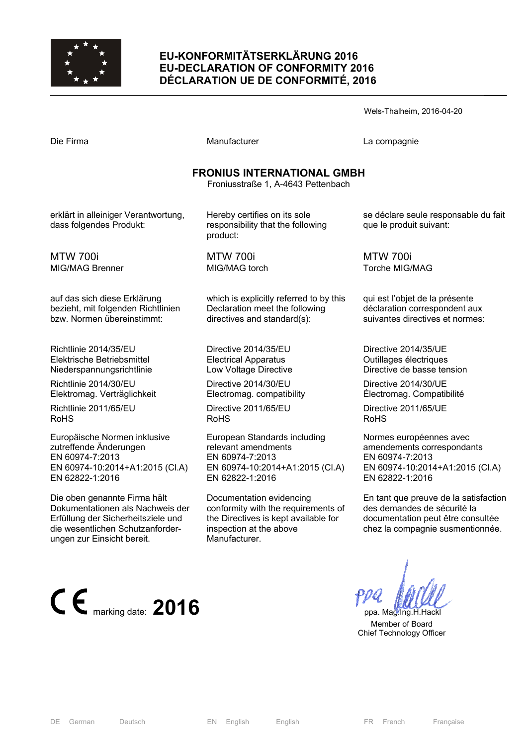

### **EU-KONFORMITÄTSERKLÄRUNG 2016 EU-DECLARATION OF CONFORMITY 2016 DÉCLARATION UE DE CONFORMITÉ, 2016**

| Die Firma |  |
|-----------|--|
|-----------|--|

Manufacturer **Compagnie** La compagnie

### **FRONIUS INTERNATIONAL GMBH**

Froniusstraße 1, A-4643 Pettenbach

erklärt in alleiniger Verantwortung, dass folgendes Produkt:

MTW 700i MIG/MAG Brenner

auf das sich diese Erklärung bezieht, mit folgenden Richtlinien bzw. Normen übereinstimmt:

Richtlinie 2014/35/EU Elektrische Betriebsmittel Niederspannungsrichtlinie

Richtlinie 2014/30/EU Elektromag. Verträglichkeit

Richtlinie 2011/65/EU RoHS

Europäische Normen inklusive zutreffende Änderungen EN 60974-7:2013 EN 60974-10:2014+A1:2015 (Cl.A) EN 62822-1:2016

Die oben genannte Firma hält Dokumentationen als Nachweis der Erfüllung der Sicherheitsziele und die wesentlichen Schutzanforderungen zur Einsicht bereit.



Hereby certifies on its sole responsibility that the following product:

MTW 700i MIG/MAG torch

which is explicitly referred to by this Declaration meet the following directives and standard(s):

Directive 2014/35/EU Electrical Apparatus Low Voltage Directive

Directive 2014/30/EU Electromag. compatibility

Directive 2011/65/EU RoHS

European Standards including relevant amendments EN 60974-7:2013 EN 60974-10:2014+A1:2015 (Cl.A) EN 62822-1:2016

Documentation evidencing conformity with the requirements of the Directives is kept available for inspection at the above Manufacturer.

se déclare seule responsable du fait que le produit suivant:

MTW 700i Torche MIG/MAG

qui est l'objet de la présente déclaration correspondent aux suivantes directives et normes:

Directive 2014/35/UE Outillages électriques Directive de basse tension

Directive 2014/30/UE Électromag. Compatibilité

Directive 2011/65/UE RoHS

Normes européennes avec amendements correspondants EN 60974-7:2013 EN 60974-10:2014+A1:2015 (Cl.A) EN 62822-1:2016

En tant que preuve de la satisfaction des demandes de sécurité la documentation peut être consultée chez la compagnie susmentionnée.

 Member of Board Chief Technology Officer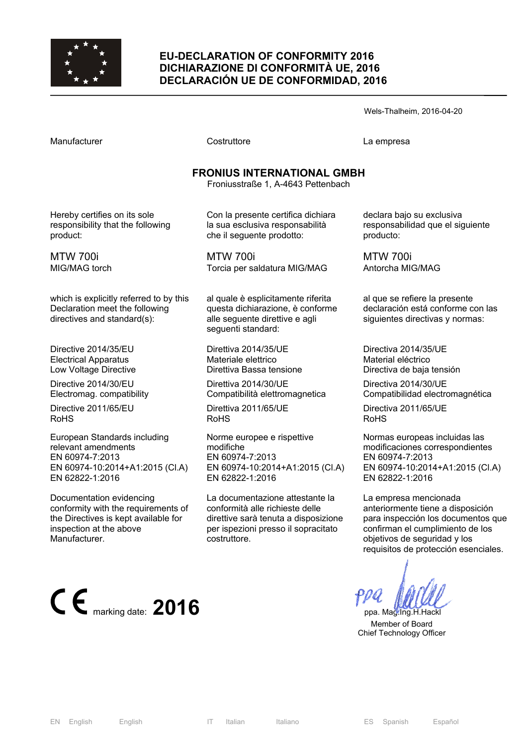

### **EU-DECLARATION OF CONFORMITY 2016 DICHIARAZIONE DI CONFORMITÀ UE, 2016 DECLARACIÓN UE DE CONFORMIDAD, 2016**

Wels-Thalheim, 2016-04-20

Manufacturer Costruttore La empresa

# **FRONIUS INTERNATIONAL GMBH**

Froniusstraße 1, A-4643 Pettenbach

Hereby certifies on its sole responsibility that the following product:

MTW 700i MIG/MAG torch

which is explicitly referred to by this Declaration meet the following directives and standard(s):

Directive 2014/35/EU Electrical Apparatus Low Voltage Directive

Directive 2014/30/EU Electromag. compatibility

Directive 2011/65/EU RoHS

European Standards including relevant amendments EN 60974-7:2013 EN 60974-10:2014+A1:2015 (Cl.A) EN 62822-1:2016

Documentation evidencing conformity with the requirements of the Directives is kept available for inspection at the above Manufacturer.



Con la presente certifica dichiara la sua esclusiva responsabilità che il seguente prodotto:

MTW 700i Torcia per saldatura MIG/MAG

al quale è esplicitamente riferita questa dichiarazione, è conforme alle seguente direttive e agli seguenti standard:

Direttiva 2014/35/UE Materiale elettrico Direttiva Bassa tensione

Direttiva 2014/30/UE Compatibilità elettromagnetica

Direttiva 2011/65/UE RoHS

Norme europee e rispettive modifiche EN 60974-7:2013 EN 60974-10:2014+A1:2015 (Cl.A) EN 62822-1:2016

La documentazione attestante la conformità alle richieste delle direttive sarà tenuta a disposizione per ispezioni presso il sopracitato costruttore.

declara bajo su exclusiva responsabilidad que el siguiente producto:

MTW 700i Antorcha MIG/MAG

al que se refiere la presente declaración está conforme con las siguientes directivas y normas:

Directiva 2014/35/UE Material eléctrico Directiva de baja tensión

Directiva 2014/30/UE Compatibilidad electromagnética

Directiva 2011/65/UE RoHS

Normas europeas incluidas las modificaciones correspondientes EN 60974-7:2013 EN 60974-10:2014+A1:2015 (Cl.A) EN 62822-1:2016

La empresa mencionada anteriormente tiene a disposición para inspección los documentos que confirman el cumplimiento de los objetivos de seguridad y los requisitos de protección esenciales.

 Member of Board Chief Technology Officer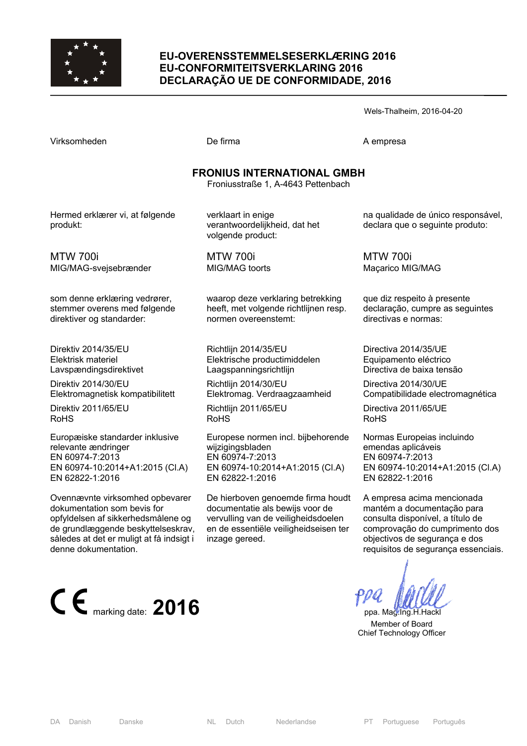

### **EU-OVERENSSTEMMELSESERKLÆRING 2016 EU-CONFORMITEITSVERKLARING 2016 DECLARAÇÃO UE DE CONFORMIDADE, 2016**

Wels-Thalheim, 2016-04-20

De firma A empresa

### **FRONIUS INTERNATIONAL GMBH**

Froniusstraße 1, A-4643 Pettenbach

Hermed erklærer vi, at følgende produkt:

verklaart in enige verantwoordelijkheid, dat het volgende product:

MTW 700i MIG/MAG-svejsebrænder

som denne erklæring vedrører, stemmer overens med følgende direktiver og standarder:

Direktiv 2014/35/EU Elektrisk materiel Lavspændingsdirektivet

Direktiv 2014/30/EU Elektromagnetisk kompatibilitett

Direktiv 2011/65/EU RoHS

Europæiske standarder inklusive relevante ændringer EN 60974-7:2013 EN 60974-10:2014+A1:2015 (Cl.A) EN 62822-1:2016

Ovennævnte virksomhed opbevarer dokumentation som bevis for opfyldelsen af sikkerhedsmålene og de grundlæggende beskyttelseskrav, således at det er muligt at få indsigt i denne dokumentation.



MTW 700i MIG/MAG toorts

waarop deze verklaring betrekking heeft, met volgende richtlijnen resp. normen overeenstemt:

Richtlijn 2014/35/EU Elektrische productimiddelen Laagspanningsrichtlijn

Richtlijn 2014/30/EU Elektromag. Verdraagzaamheid

Richtlijn 2011/65/EU RoHS

Europese normen incl. bijbehorende wijzigingsbladen EN 60974-7:2013 EN 60974-10:2014+A1:2015 (Cl.A) EN 62822-1:2016

De hierboven genoemde firma houdt documentatie als bewijs voor de vervulling van de veiligheidsdoelen en de essentiële veiligheidseisen ter inzage gereed.

na qualidade de único responsável, declara que o seguinte produto:

MTW 700i Maçarico MIG/MAG

que diz respeito à presente declaração, cumpre as seguintes directivas e normas:

Directiva 2014/35/UE Equipamento eléctrico Directiva de baixa tensão

Directiva 2014/30/UE Compatibilidade electromagnética

Directiva 2011/65/UE RoHS

Normas Europeias incluindo emendas aplicáveis EN 60974-7:2013 EN 60974-10:2014+A1:2015 (Cl.A) EN 62822-1:2016

A empresa acima mencionada mantém a documentação para consulta disponível, a título de comprovação do cumprimento dos objectivos de segurança e dos requisitos de segurança essenciais.

 Member of Board Chief Technology Officer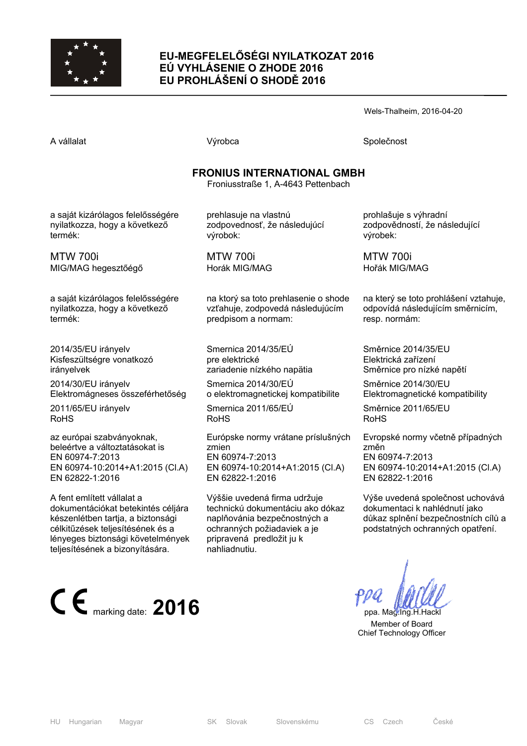

### **EU-MEGFELELŐSÉGI NYILATKOZAT 2016 EÚ VYHLÁSENIE O ZHODE 2016 EU PROHLÁŠENÍ O SHODĚ 2016**

Wels-Thalheim, 2016-04-20

A vállalat Společnost Národová výrobca Na vállalat Společnost Společnost Společnost Společnost Společnost Společnost

## **FRONIUS INTERNATIONAL GMBH**

Froniusstraße 1, A-4643 Pettenbach

a saját kizárólagos felelősségére nyilatkozza, hogy a következő termék:

MTW 700i MIG/MAG hegesztőégő

a saját kizárólagos felelősségére nyilatkozza, hogy a következő termék:

2014/35/EU irányelv Kisfeszültségre vonatkozó irányelvek

2014/30/EU irányelv Elektromágneses összeférhetőség

2011/65/EU irányelv RoHS

az európai szabványoknak, beleértve a változtatásokat is EN 60974-7:2013 EN 60974-10:2014+A1:2015 (Cl.A) EN 62822-1:2016

A fent említett vállalat a dokumentációkat betekintés céljára készenlétben tartja, a biztonsági célkitűzések teljesítésének és a lényeges biztonsági követelmények teljesítésének a bizonyítására.



prehlasuje na vlastnú zodpovednosť, že následujúcí výrobok:

MTW 700i Horák MIG/MAG

na ktorý sa toto prehlasenie o shode vzťahuje, zodpovedá následujúcím predpisom a normam:

Smernica 2014/35/EÚ pre elektrické zariadenie nízkého napätia

Smernica 2014/30/EÚ o elektromagnetickej kompatibilite

Smernica 2011/65/EÚ RoHS

Európske normy vrátane príslušných zmien EN 60974-7:2013 EN 60974-10:2014+A1:2015 (Cl.A) EN 62822-1:2016

Výššie uvedená firma udržuje technickú dokumentáciu ako dókaz naplňovánia bezpečnostných a ochranných požiadaviek a je pripravená predložit ju k nahliadnutiu.

prohlašuje s výhradní zodpovědností, že následující výrobek:

MTW 700i Hořák MIG/MAG

na který se toto prohlášení vztahuje, odpovídá následujícím směrnicím, resp. normám:

Směrnice 2014/35/EU Elektrická zařízení Směrnice pro nízké napětí

Směrnice 2014/30/EU Elektromagnetické kompatibility

Směrnice 2011/65/EU RoHS

Evropské normy včetně případných změn EN 60974-7:2013 EN 60974-10:2014+A1:2015 (Cl.A) EN 62822-1:2016

Výše uvedená společnost uchovává dokumentaci k nahlédnutí jako důkaz splnění bezpečnostních cílů a podstatných ochranných opatření.

 Member of Board Chief Technology Officer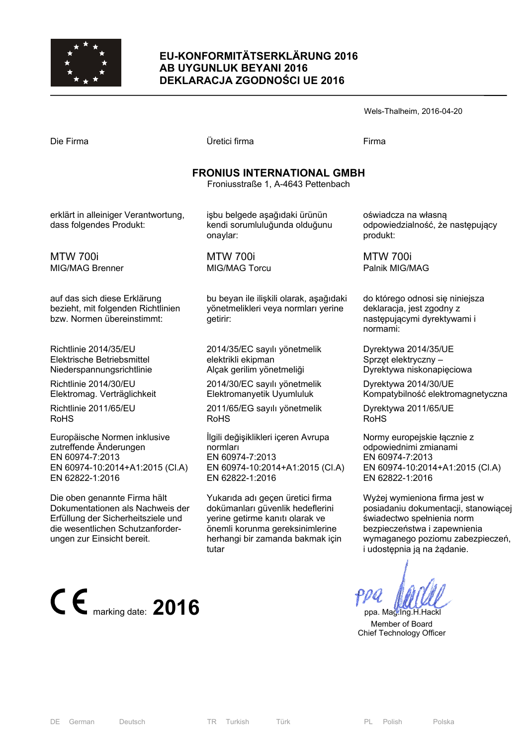

### **EU-KONFORMITÄTSERKLÄRUNG 2016 AB UYGUNLUK BEYANI 2016 DEKLARACJA ZGODNOŚCI UE 2016**

| Wels-Thalheim, 2016-04-20 |  |
|---------------------------|--|
|---------------------------|--|

| Die Firma |  |
|-----------|--|
|-----------|--|

Die Firma Üretici firma Firma

### **FRONIUS INTERNATIONAL GMBH**

Froniusstraße 1, A-4643 Pettenbach

erklärt in alleiniger Verantwortung, dass folgendes Produkt:

MTW 700i MIG/MAG Brenner

auf das sich diese Erklärung bezieht, mit folgenden Richtlinien bzw. Normen übereinstimmt:

Richtlinie 2014/35/EU Elektrische Betriebsmittel Niederspannungsrichtlinie

Richtlinie 2014/30/EU Elektromag. Verträglichkeit

Richtlinie 2011/65/EU RoHS

Europäische Normen inklusive zutreffende Änderungen EN 60974-7:2013 EN 60974-10:2014+A1:2015 (Cl.A) EN 62822-1:2016

Die oben genannte Firma hält Dokumentationen als Nachweis der Erfüllung der Sicherheitsziele und die wesentlichen Schutzanforderungen zur Einsicht bereit.



işbu belgede aşağıdaki ürünün kendi sorumluluğunda olduğunu onaylar:

MTW 700i MIG/MAG Torcu

bu beyan ile ilişkili olarak, aşağıdaki yönetmelikleri veya normları yerine getirir:

2014/35/EC sayılı yönetmelik elektrikli ekipman Alçak gerilim yönetmeliği

2014/30/EC sayılı yönetmelik Elektromanyetik Uyumluluk

2011/65/EG sayılı yönetmelik RoHS

İlgili değişiklikleri içeren Avrupa normları EN 60974-7:2013 EN 60974-10:2014+A1:2015 (Cl.A) EN 62822-1:2016

Yukarıda adı geçen üretici firma dokümanları güvenlik hedeflerini yerine getirme kanıtı olarak ve önemli korunma gereksinimlerine herhangi bir zamanda bakmak için tutar

oświadcza na własną odpowiedzialność, że następujący produkt:

MTW 700i Palnik MIG/MAG

do którego odnosi się niniejsza deklaracja, jest zgodny z następującymi dyrektywami i normami:

Dyrektywa 2014/35/UE Sprzęt elektryczny – Dyrektywa niskonapięciowa

Dyrektywa 2014/30/UE Kompatybilność elektromagnetyczna

Dyrektywa 2011/65/UE RoHS

Normy europejskie łącznie z odpowiednimi zmianami EN 60974-7:2013 EN 60974-10:2014+A1:2015 (Cl.A) EN 62822-1:2016

Wyżej wymieniona firma jest w posiadaniu dokumentacji, stanowiącej świadectwo spełnienia norm bezpieczeństwa i zapewnienia wymaganego poziomu zabezpieczeń, i udostępnia ją na żądanie.

 Member of Board Chief Technology Officer